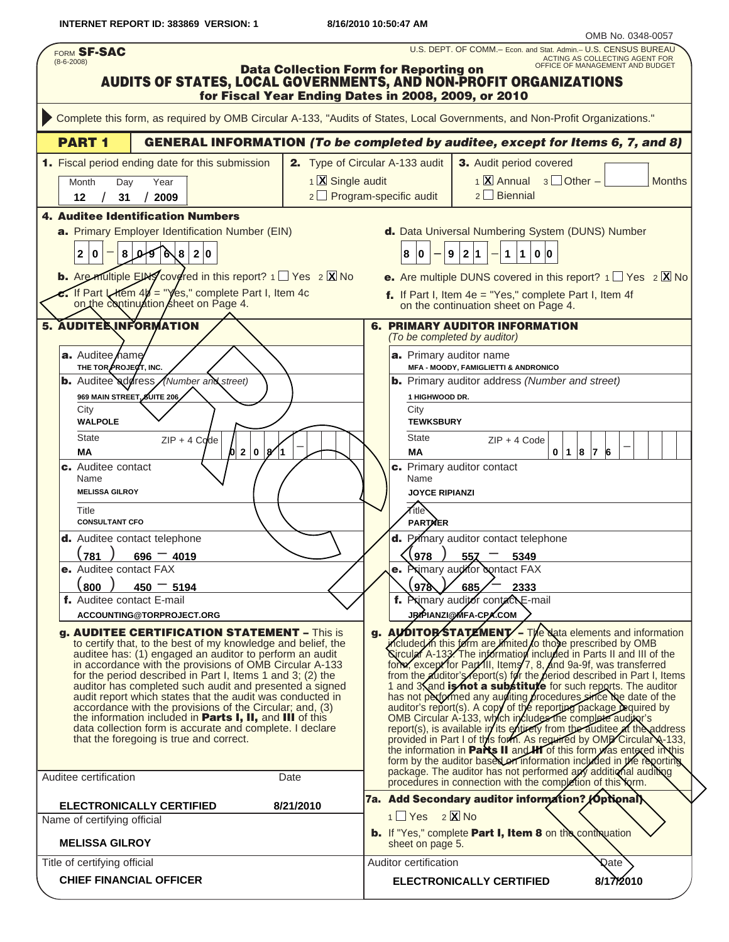**INTERNET REPORT ID: 383869 VERSION: 1 8/16/2010 10:50:47 AM**

| FORM SF-SAC<br>$(8-6-2008)$                                                                                                                                                                                                                                                                                                                                                                                                                                                                                                                                                                                                                                                                                                                                                                                                                                                                                                                                                                                                                                                                                                           | U.S. DEPT. OF COMM.- Econ. and Stat. Admin.- U.S. CENSUS BUREAU<br>ACTING AS COLLECTING AGENT FOR<br>OFFICE OF MANAGEMENT AND BUDGET                                                                                                                                                                                                                                                                                                                                                                                                                                                                                                                                                                                                                                                                                                                                                                                                                                                                                                                                                                                                                                                                                                                                                                                                                                                                                                                                                                                                                                                                                                      |
|---------------------------------------------------------------------------------------------------------------------------------------------------------------------------------------------------------------------------------------------------------------------------------------------------------------------------------------------------------------------------------------------------------------------------------------------------------------------------------------------------------------------------------------------------------------------------------------------------------------------------------------------------------------------------------------------------------------------------------------------------------------------------------------------------------------------------------------------------------------------------------------------------------------------------------------------------------------------------------------------------------------------------------------------------------------------------------------------------------------------------------------|-------------------------------------------------------------------------------------------------------------------------------------------------------------------------------------------------------------------------------------------------------------------------------------------------------------------------------------------------------------------------------------------------------------------------------------------------------------------------------------------------------------------------------------------------------------------------------------------------------------------------------------------------------------------------------------------------------------------------------------------------------------------------------------------------------------------------------------------------------------------------------------------------------------------------------------------------------------------------------------------------------------------------------------------------------------------------------------------------------------------------------------------------------------------------------------------------------------------------------------------------------------------------------------------------------------------------------------------------------------------------------------------------------------------------------------------------------------------------------------------------------------------------------------------------------------------------------------------------------------------------------------------|
|                                                                                                                                                                                                                                                                                                                                                                                                                                                                                                                                                                                                                                                                                                                                                                                                                                                                                                                                                                                                                                                                                                                                       | <b>Data Collection Form for Reporting on</b><br>AUDITS OF STATES, LOCAL GOVERNMENTS, AND NON-PROFIT ORGANIZATIONS<br>for Fiscal Year Ending Dates in 2008, 2009, or 2010                                                                                                                                                                                                                                                                                                                                                                                                                                                                                                                                                                                                                                                                                                                                                                                                                                                                                                                                                                                                                                                                                                                                                                                                                                                                                                                                                                                                                                                                  |
|                                                                                                                                                                                                                                                                                                                                                                                                                                                                                                                                                                                                                                                                                                                                                                                                                                                                                                                                                                                                                                                                                                                                       | Complete this form, as required by OMB Circular A-133, "Audits of States, Local Governments, and Non-Profit Organizations."                                                                                                                                                                                                                                                                                                                                                                                                                                                                                                                                                                                                                                                                                                                                                                                                                                                                                                                                                                                                                                                                                                                                                                                                                                                                                                                                                                                                                                                                                                               |
| <b>PART1</b>                                                                                                                                                                                                                                                                                                                                                                                                                                                                                                                                                                                                                                                                                                                                                                                                                                                                                                                                                                                                                                                                                                                          | <b>GENERAL INFORMATION (To be completed by auditee, except for Items 6, 7, and 8)</b>                                                                                                                                                                                                                                                                                                                                                                                                                                                                                                                                                                                                                                                                                                                                                                                                                                                                                                                                                                                                                                                                                                                                                                                                                                                                                                                                                                                                                                                                                                                                                     |
| 1. Fiscal period ending date for this submission<br>Month<br>Day<br>Year<br>31<br>2009<br>12<br><b>4. Auditee Identification Numbers</b><br>a. Primary Employer Identification Number (EIN)<br>$\sqrt{9}$ 6<br>2 0<br>2 0<br>8 <sup>1</sup><br>∖୫<br>ها<br><b>b.</b> Are multiple EIN covered in this report? $1 \square$ Yes $2 \square$ No                                                                                                                                                                                                                                                                                                                                                                                                                                                                                                                                                                                                                                                                                                                                                                                          | 2. Type of Circular A-133 audit<br>3. Audit period covered<br>$1 \times$ Annual $3 \times$ Other –<br>1 X Single audit<br><b>Months</b><br>$2 \Box$ Biennial<br>$2 \Box$ Program-specific audit<br>d. Data Universal Numbering System (DUNS) Number<br>$\overline{9}$<br>2 1<br>$\mathbf{1}$<br> 0 0<br>8 0<br>$\mathbf 1$<br><b>e.</b> Are multiple DUNS covered in this report? $1 \square Y$ es $2 \square X$ No                                                                                                                                                                                                                                                                                                                                                                                                                                                                                                                                                                                                                                                                                                                                                                                                                                                                                                                                                                                                                                                                                                                                                                                                                       |
| If Part Litem $4b =$ "Yes," complete Part I, Item 4c<br>on the continuation sheet on Page 4.<br><b>5. AUDITER INFORMATION</b>                                                                                                                                                                                                                                                                                                                                                                                                                                                                                                                                                                                                                                                                                                                                                                                                                                                                                                                                                                                                         | f. If Part I, Item $4e = "Yes,"$ complete Part I, Item $4f$<br>on the continuation sheet on Page 4.<br><b>6. PRIMARY AUDITOR INFORMATION</b>                                                                                                                                                                                                                                                                                                                                                                                                                                                                                                                                                                                                                                                                                                                                                                                                                                                                                                                                                                                                                                                                                                                                                                                                                                                                                                                                                                                                                                                                                              |
| a. Auditee hame<br>THE TOR PROJECT, INC.<br><b>b.</b> Auditee address<br>(Number and Street)<br>969 MAIN STREET, SUITE 206<br>City<br><b>WALPOLE</b><br><b>State</b><br>$ZIP + 4$ Code<br>/0 2 0 8<br>MA<br>c. Auditee contact<br>Name<br><b>MELISSA GILROY</b><br>Title<br><b>CONSULTANT CFO</b><br>d. Auditee contact telephone<br>781<br>$696 - 4019$<br>e. Auditee contact FAX<br>800<br>$450 - 5194$<br>f. Auditee contact E-mail<br>ACCOUNTING@TORPROJECT.ORG<br><b>g. AUDITEE CERTIFICATION STATEMENT - This is</b><br>to certify that, to the best of my knowledge and belief, the<br>auditee has: (1) engaged an auditor to perform an audit<br>in accordance with the provisions of OMB Circular A-133<br>for the period described in Part I, Items 1 and 3; (2) the<br>auditor has completed such audit and presented a signed<br>audit report which states that the audit was conducted in<br>accordance with the provisions of the Circular; and, (3)<br>the information included in Parts I, II, and III of this<br>data collection form is accurate and complete. I declare<br>that the foregoing is true and correct. | (To be completed by auditor)<br>a. Primary auditor name<br><b>MFA - MOODY, FAMIGLIETTI &amp; ANDRONICO</b><br><b>b.</b> Primary auditor address (Number and street)<br>1 HIGHWOOD DR.<br>City<br><b>TEWKSBURY</b><br><b>State</b><br>$ZIP + 4$ Code<br>$\mathbf{0}$<br>8 7<br>МA<br>$\mathbf{1}$<br>6<br>c. Primary auditor contact<br>Name<br><b>JOYCE RIPIANZI</b><br>$\overline{\mathbf{z}}$ itle<br><b>PARTMER</b><br>d. Primary auditor contact telephone<br>978<br>$55\lambda$<br>5349<br>Primary aughtor contact FAX<br>$\sqrt{\frac{878}{}}$<br>685/<br>2333<br>f. Primary auditor contact E-mail<br>JRIPIANZI@MFA-CPA.COM<br>g. AUDITOR'STATEMENT - The data elements and information<br>included in this form are limited to those prescribed by OMB<br>Sircular A-133. The information included in Parts II and III of the<br>form, except for Part III, Items/7, 8, and 9a-9f, was transferred<br>from the <i>z</i> uditor's report(s) for the period described in Part I, Items<br>1 and 3 and is not a substitute for such reports. The auditor<br>has not performed any aughting procedures since the date of the<br>auditor's report(s). A copy of the reporting package required by<br>OMB Circular A-133, which includes the complete auditor's<br>report(s), is available in its entirety from the auditee at the address<br>provided in Part I of this form. As required by OMB Circular A 133,<br>the information in <b>Parts II</b> and HI of this form was entered in this<br>form by the auditor based on information included in the reporting<br>package. The auditor has not performed any additional auditing |
| Auditee certification                                                                                                                                                                                                                                                                                                                                                                                                                                                                                                                                                                                                                                                                                                                                                                                                                                                                                                                                                                                                                                                                                                                 | Date<br>procedures in connection with the completion of this form.<br>7a. Add Secondary auditor information? [Optional]                                                                                                                                                                                                                                                                                                                                                                                                                                                                                                                                                                                                                                                                                                                                                                                                                                                                                                                                                                                                                                                                                                                                                                                                                                                                                                                                                                                                                                                                                                                   |
| <b>ELECTRONICALLY CERTIFIED</b><br>Name of certifying official<br><b>MELISSA GILROY</b>                                                                                                                                                                                                                                                                                                                                                                                                                                                                                                                                                                                                                                                                                                                                                                                                                                                                                                                                                                                                                                               | 8/21/2010<br>$1$ Yes $2$ X No<br>b. If "Yes," complete Part I, Item 8 on the continuation<br>sheet on page 5.                                                                                                                                                                                                                                                                                                                                                                                                                                                                                                                                                                                                                                                                                                                                                                                                                                                                                                                                                                                                                                                                                                                                                                                                                                                                                                                                                                                                                                                                                                                             |
| Title of certifying official<br><b>CHIEF FINANCIAL OFFICER</b>                                                                                                                                                                                                                                                                                                                                                                                                                                                                                                                                                                                                                                                                                                                                                                                                                                                                                                                                                                                                                                                                        | Auditor certification<br>Qate<br>8/17/2010<br><b>ELECTRONICALLY CERTIFIED</b>                                                                                                                                                                                                                                                                                                                                                                                                                                                                                                                                                                                                                                                                                                                                                                                                                                                                                                                                                                                                                                                                                                                                                                                                                                                                                                                                                                                                                                                                                                                                                             |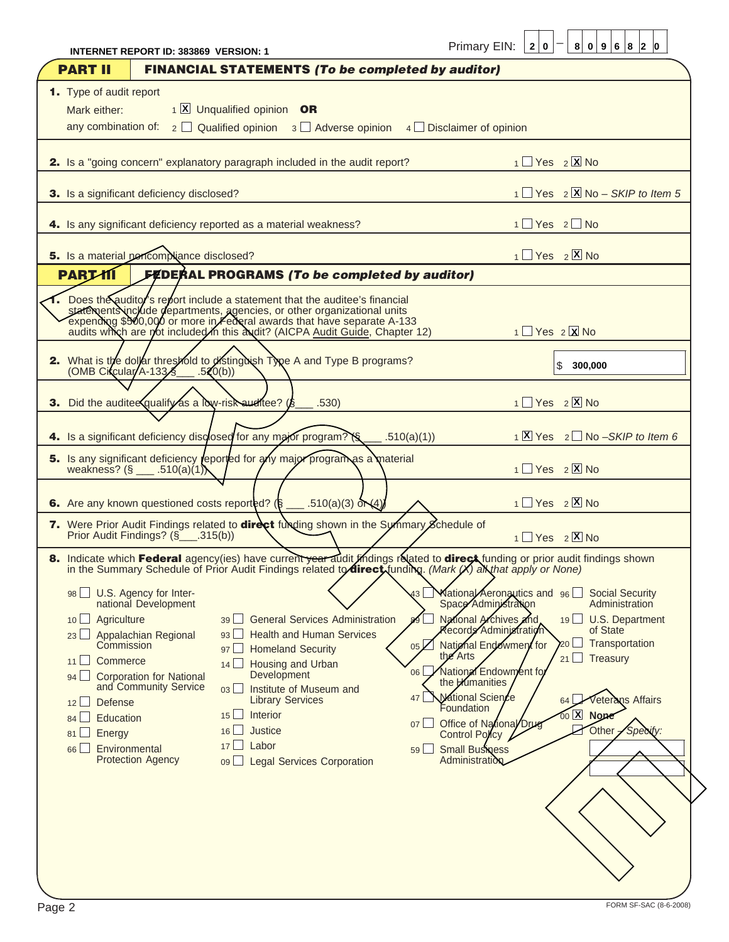|                                                                                                       | INTERNET REPORT ID: 383869 VERSION: 1                                                                                                                                                               |                                                                                                                                                                                                                                                                                                                 |                                                                       |                                                     | Primary EIN: $ 2 0 $                                                                                                                                                                                                                                                                                     |                  | 8 0 9 6 8 2 0                                                                                                                                                                                                     |
|-------------------------------------------------------------------------------------------------------|-----------------------------------------------------------------------------------------------------------------------------------------------------------------------------------------------------|-----------------------------------------------------------------------------------------------------------------------------------------------------------------------------------------------------------------------------------------------------------------------------------------------------------------|-----------------------------------------------------------------------|-----------------------------------------------------|----------------------------------------------------------------------------------------------------------------------------------------------------------------------------------------------------------------------------------------------------------------------------------------------------------|------------------|-------------------------------------------------------------------------------------------------------------------------------------------------------------------------------------------------------------------|
| <b>PART II</b>                                                                                        |                                                                                                                                                                                                     | <b>FINANCIAL STATEMENTS (To be completed by auditor)</b>                                                                                                                                                                                                                                                        |                                                                       |                                                     |                                                                                                                                                                                                                                                                                                          |                  |                                                                                                                                                                                                                   |
| <b>1.</b> Type of audit report                                                                        |                                                                                                                                                                                                     |                                                                                                                                                                                                                                                                                                                 |                                                                       |                                                     |                                                                                                                                                                                                                                                                                                          |                  |                                                                                                                                                                                                                   |
| Mark either:                                                                                          |                                                                                                                                                                                                     | 1 X Unqualified opinion OR                                                                                                                                                                                                                                                                                      |                                                                       |                                                     |                                                                                                                                                                                                                                                                                                          |                  |                                                                                                                                                                                                                   |
|                                                                                                       |                                                                                                                                                                                                     | any combination of: $2 \square$ Qualified opinion $3 \square$ Adverse opinion $4 \square$ Disclaimer of opinion                                                                                                                                                                                                 |                                                                       |                                                     |                                                                                                                                                                                                                                                                                                          |                  |                                                                                                                                                                                                                   |
|                                                                                                       |                                                                                                                                                                                                     | 2. Is a "going concern" explanatory paragraph included in the audit report?                                                                                                                                                                                                                                     |                                                                       |                                                     |                                                                                                                                                                                                                                                                                                          | $1$ Yes $2$ X No |                                                                                                                                                                                                                   |
|                                                                                                       | 3. Is a significant deficiency disclosed?                                                                                                                                                           |                                                                                                                                                                                                                                                                                                                 |                                                                       |                                                     |                                                                                                                                                                                                                                                                                                          |                  | $1$ Yes $2$ X No – SKIP to Item 5                                                                                                                                                                                 |
|                                                                                                       |                                                                                                                                                                                                     | 4. Is any significant deficiency reported as a material weakness?                                                                                                                                                                                                                                               |                                                                       |                                                     |                                                                                                                                                                                                                                                                                                          | 1 Yes 2 No       |                                                                                                                                                                                                                   |
|                                                                                                       | 5. Is a material pericompliance disclosed?                                                                                                                                                          |                                                                                                                                                                                                                                                                                                                 |                                                                       |                                                     |                                                                                                                                                                                                                                                                                                          | $1$ Yes $2$ X No |                                                                                                                                                                                                                   |
| <b>PARTII</b>                                                                                         |                                                                                                                                                                                                     | <b>FEDERAL PROGRAMS (To be completed by auditor)</b>                                                                                                                                                                                                                                                            |                                                                       |                                                     |                                                                                                                                                                                                                                                                                                          |                  |                                                                                                                                                                                                                   |
|                                                                                                       |                                                                                                                                                                                                     | Does the auditor's report include a statement that the auditee's financial<br>statements include departments, agencies, or other organizational units<br>expending \$500,000 or more in Federal awards that have separate A-133<br>audits which are not included in this audit? (AICPA Audit Guide, Chapter 12) |                                                                       |                                                     |                                                                                                                                                                                                                                                                                                          | $1$ Yes $2$ X No |                                                                                                                                                                                                                   |
| (OMB Circular/A-133                                                                                   |                                                                                                                                                                                                     | 2. What is the dollar threshold to distinguish Type A and Type B programs?<br>$-520(b)$                                                                                                                                                                                                                         |                                                                       |                                                     |                                                                                                                                                                                                                                                                                                          |                  | \$<br>300,000                                                                                                                                                                                                     |
|                                                                                                       |                                                                                                                                                                                                     | 3. Did the audite equalify as a low-risk auditee 7(§ __ .530)                                                                                                                                                                                                                                                   |                                                                       |                                                     |                                                                                                                                                                                                                                                                                                          | 1 Yes 2 X No     |                                                                                                                                                                                                                   |
|                                                                                                       |                                                                                                                                                                                                     | 4. Is a significant deficiency disclosed for any major program? ( $\S$ )                                                                                                                                                                                                                                        |                                                                       | $\_ .510(a)(1))$                                    |                                                                                                                                                                                                                                                                                                          |                  | $1 \times Y$ es $2 \times N$ o – SKIP to Item 6                                                                                                                                                                   |
|                                                                                                       | weakness? $(\S$ ___ .510(a)(1)                                                                                                                                                                      | 5. Is any significant deficiency reported for any major program as a material                                                                                                                                                                                                                                   |                                                                       |                                                     |                                                                                                                                                                                                                                                                                                          |                  | $1$ Yes $2$ X No                                                                                                                                                                                                  |
|                                                                                                       |                                                                                                                                                                                                     | <b>6.</b> Are any known questioned costs reported? ( $\mathcal{S}$ ___ .510(a)(3) or $\mathcal{A}$ )                                                                                                                                                                                                            |                                                                       |                                                     |                                                                                                                                                                                                                                                                                                          |                  | $1$ Yes $2$ X No                                                                                                                                                                                                  |
|                                                                                                       | Prior Audit Findings? (§_____.315(b))                                                                                                                                                               | 7. Were Prior Audit Findings related to direct funding shown in the Summary Schedule of                                                                                                                                                                                                                         |                                                                       |                                                     |                                                                                                                                                                                                                                                                                                          |                  | $1$ Yes $2$ X No                                                                                                                                                                                                  |
|                                                                                                       |                                                                                                                                                                                                     | in the Summary Schedule of Prior Audit Findings related to <b>direct</b> <i>f</i> unding (Mark X) all that apply or None)                                                                                                                                                                                       |                                                                       |                                                     |                                                                                                                                                                                                                                                                                                          |                  | 8. Indicate which Federal agency(ies) have current year audit thdings related to direct Nunding or prior audit findings shown                                                                                     |
| Agriculture<br>10<br>Commerce<br>11<br>94<br>Defense<br>12<br>Education<br>84<br>Energy<br>81 L<br>66 | 98 U.S. Agency for Inter-<br>national Development<br>23 Appalachian Regional<br>Commission<br><b>Corporation for National</b><br>and Community Service<br>Environmental<br><b>Protection Agency</b> | 39 General Services Administration<br>93<br><b>Homeland Security</b><br>97<br>$14$ Housing and Urban<br>Development<br>Institute of Museum and<br>03<br><b>Library Services</b><br>Interior<br>15<br>Justice<br>16<br>Labor<br>17<br>$09$ $\Box$                                                                | <b>Health and Human Services</b><br><b>Legal Services Corporation</b> | 05 <sub>1</sub><br>06 <br>47 l<br>$07$ $\Box$<br>59 | Space Administration<br>National Archives and<br><b>Records Administration</b><br>National Endowment/for<br>the Arts<br>National Endowment for<br>the Humanities<br><b>National Science</b><br>Foundation<br>Office of National Drug<br><b>Control Policy</b><br><b>Small Business</b><br>Administration |                  | National Aeronantics and 96 Social Security<br>Administration<br>19 U.S. Department<br>of State<br>Transportation<br>Treasury<br>21<br><b>Veterans Affairs</b><br>64<br>$00$ $\overline{X}$ None<br>Other -Specif |

Primary EIN: \_ **2 0 8 0 9 6 8 2 0**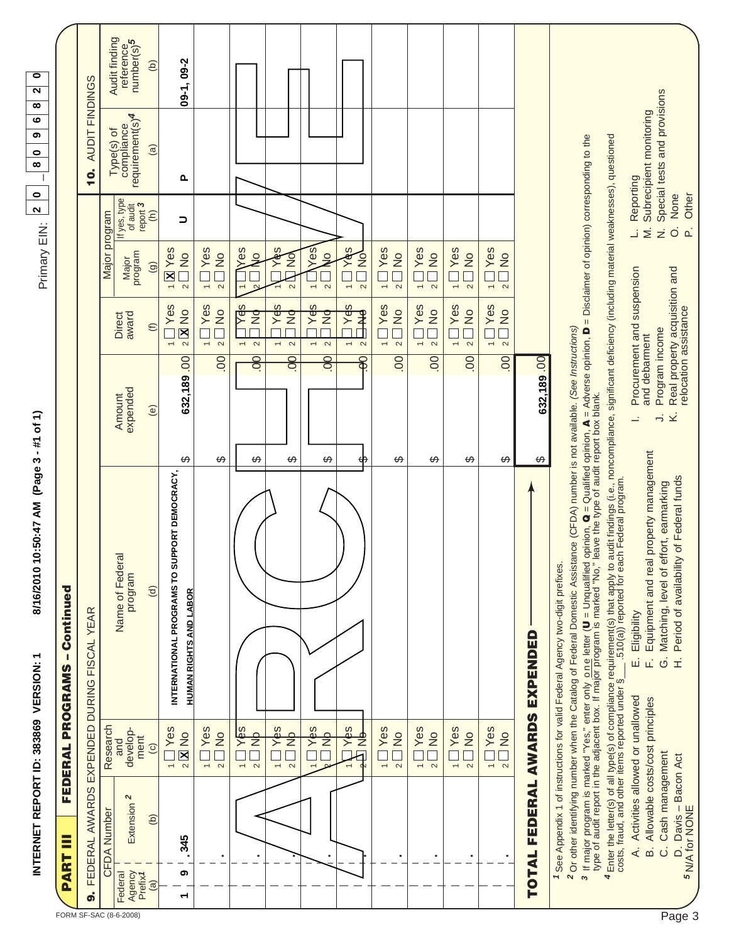|                        |                                                          | INTERNET REPORT ID: 383869 VERSION:                                   |                                | (Page 3<br>8/16/2010 10:50:47 AM<br>٣                                                                                                                                                                                                                                                                                                                                                                                                                             | - #1 of 1)                                       |                                                                   | Primary EIN:                                                                      | $\bullet$<br>$\boldsymbol{\sim}$                  | ဖ<br>თ<br>$\bullet$<br>$\infty$                         | $\overline{\bullet}$<br>$\overline{\mathbf{c}}$<br>∞ |
|------------------------|----------------------------------------------------------|-----------------------------------------------------------------------|--------------------------------|-------------------------------------------------------------------------------------------------------------------------------------------------------------------------------------------------------------------------------------------------------------------------------------------------------------------------------------------------------------------------------------------------------------------------------------------------------------------|--------------------------------------------------|-------------------------------------------------------------------|-----------------------------------------------------------------------------------|---------------------------------------------------|---------------------------------------------------------|------------------------------------------------------|
|                        | ≣<br>PART                                                | FEDERAL                                                               | PROGRAMS                       | - Continued                                                                                                                                                                                                                                                                                                                                                                                                                                                       |                                                  |                                                                   |                                                                                   |                                                   |                                                         |                                                      |
|                        | ൭഻                                                       |                                                                       |                                | FEDERAL AWARDS EXPENDED DURING FISCAL YEAR                                                                                                                                                                                                                                                                                                                                                                                                                        |                                                  |                                                                   |                                                                                   |                                                   | <b>AUDIT FINDINGS</b><br>$\dot{q}$                      |                                                      |
|                        | <b>CFDA Number</b>                                       | Research                                                              |                                |                                                                                                                                                                                                                                                                                                                                                                                                                                                                   |                                                  |                                                                   | Major program                                                                     |                                                   |                                                         | Audit finding                                        |
| FORM SF-SAC (8-6-2008) | Extension 2<br>Agency<br>Prefix1<br>Federal              | develop-<br>ment<br>and                                               |                                | Name of Federa<br>program                                                                                                                                                                                                                                                                                                                                                                                                                                         | expended<br>Amount                               | award<br>Direct                                                   | Major<br>program                                                                  | If yes, type<br>of audit                          | requirement(s) <sup>4</sup><br>Type(s) of<br>compliance | reference<br>number(s)5                              |
|                        | $\Theta$<br>$\widehat{a}$                                | $\odot$                                                               |                                | $\Theta$                                                                                                                                                                                                                                                                                                                                                                                                                                                          | $\circlede$                                      | $\oplus$                                                          | $\widehat{\Theta}$                                                                | report 3<br>$\widehat{\epsilon}$                  | $\widehat{a}$                                           | $\Theta$                                             |
|                        | 345<br>ග<br>᠆                                            | $2$ $\overline{\mathbf{X}}$ No<br>$\frac{1}{\tau}$                    | <b>IYes</b>                    | INTERNATIONAL PROGRAMS TO SUPPORT DEMOCRACY,<br><b>HUMAN RIGHTS AND LABOR</b>                                                                                                                                                                                                                                                                                                                                                                                     | 632,189.00<br>↔                                  | Yes<br>$2$ $\overline{\mathbf{X}}$ No<br>$\overline{\phantom{0}}$ | $\sqrt{N}$ Yes<br>$\frac{1}{2}$<br>$\sim$                                         | ∍                                                 | Δ.                                                      | $09-1, 09-2$                                         |
|                        |                                                          | 1 <sup>1</sup><br>$\sim$                                              | $\frac{1}{2}$                  |                                                                                                                                                                                                                                                                                                                                                                                                                                                                   | 8<br>↔                                           | <b>Nes</b><br>$\frac{1}{2}$<br>$\overline{\phantom{0}}$<br>$\sim$ | <b>IYes</b><br>$\overline{Q}$<br>$\overline{\phantom{m}}$<br>$\sim$               |                                                   |                                                         |                                                      |
|                        |                                                          | $ \alpha$                                                             | Yes<br>Ž                       |                                                                                                                                                                                                                                                                                                                                                                                                                                                                   | 8<br>↔                                           | Yes<br>$\overline{z}$<br>$\sim$                                   | Se)                                                                               |                                                   |                                                         |                                                      |
|                        |                                                          | Ž<br>$\overline{\phantom{m}}$<br>$\sim$                               | l Yes                          |                                                                                                                                                                                                                                                                                                                                                                                                                                                                   | 8<br>ക                                           | Yes<br>$\frac{1}{2}$<br>$\sim$                                    | $\frac{1}{2}$<br>Yer<br>$\sim$<br>$\overline{ }$                                  |                                                   |                                                         |                                                      |
|                        |                                                          | $\frac{1}{1}$                                                         | l Y¢s                          |                                                                                                                                                                                                                                                                                                                                                                                                                                                                   | 8<br>$\Theta$                                    | Yek<br>$\overline{z}$<br>$\sim$                                   | Yes<br>$\overline{\circ}$<br>$\overline{\phantom{m}}$<br>$\sim$                   |                                                   |                                                         |                                                      |
|                        |                                                          |                                                                       | $Y$ $\phi$ s<br>$\overline{z}$ |                                                                                                                                                                                                                                                                                                                                                                                                                                                                   | 8<br>ಈ                                           | Yes<br>₹<br>$\sim$                                                | ဖာ<br>$\frac{1}{2}$<br>$\frac{1}{\sqrt{2}}$<br>$\overline{\phantom{a}}$<br>$\sim$ |                                                   |                                                         |                                                      |
|                        |                                                          | $1 \overline{\mathsf{Y}}$ es<br>$\sim$                                | $\frac{1}{2}$                  |                                                                                                                                                                                                                                                                                                                                                                                                                                                                   | $\overline{0}$<br>ക                              | Yes<br>$\frac{1}{2}$<br>$\sim$<br>$\overline{\phantom{0}}$        | Yes<br>$\frac{1}{2}$<br>$\overline{\phantom{a}}$<br>$\sim$                        |                                                   |                                                         |                                                      |
|                        |                                                          | $\frac{1}{2}$ $\frac{1}{2}$                                           | <b>Yes</b><br>$\frac{1}{2}$    |                                                                                                                                                                                                                                                                                                                                                                                                                                                                   | $\overline{0}$<br>↔                              | Yes<br>$\frac{1}{2}$<br>$\sim$<br>$\overline{\phantom{0}}$        | Yes<br>$\frac{1}{2}$<br>$\overline{\phantom{a}}$<br>$\sim$                        |                                                   |                                                         |                                                      |
|                        |                                                          | $-2$                                                                  | <b>Yes</b><br>$\frac{1}{2}$    |                                                                                                                                                                                                                                                                                                                                                                                                                                                                   | $\infty$<br>↔                                    | Yes<br>$\frac{1}{2}$<br>$\sim$<br>$\overline{\phantom{0}}$        | Yes<br>$\frac{1}{2}$<br>$\overline{\phantom{0}}$<br>$\sim$                        |                                                   |                                                         |                                                      |
|                        |                                                          | 1 <u>∏</u> Yes<br>2 <u>∏</u> No                                       |                                |                                                                                                                                                                                                                                                                                                                                                                                                                                                                   | $\overline{0}$<br>↮                              | <b>Yes</b><br>$\frac{1}{2}$<br>$\overline{\phantom{m}}$<br>$\sim$ | <b>IYes</b><br>$\frac{1}{2}$<br>$\overline{\phantom{a}}$<br>$\sim$                |                                                   |                                                         |                                                      |
|                        | TOTAL FEDERAL AWARDS EXPENDED                            |                                                                       |                                |                                                                                                                                                                                                                                                                                                                                                                                                                                                                   | 632,189.00<br>↮                                  |                                                                   |                                                                                   |                                                   |                                                         |                                                      |
|                        |                                                          |                                                                       |                                | 3 If major program is marked "Yes," enter only one letter (U = Unqualified opinion, Q = Qualified opinion, A = Adverse opinion, D = Disclaimer of opinion) corresponding to the<br>type of audit report in the adjacent box. If m<br><sup>2</sup> Or other identifying number when the Catalog of Federal Domestic Assistance (CFDA) number is not available. (See Instructions)<br>1 See Appendix 1 of instructions for valid Federal Agency two-digit prefixes. |                                                  |                                                                   |                                                                                   |                                                   |                                                         |                                                      |
|                        |                                                          |                                                                       |                                | 4 Enter the letter(s) of all type(s) of compliance requirement(s) that apply to audit findings (i.e., noncompliance, significant deficiency (including material weaknesses), questioned<br>costs, fraud, and other items reported                                                                                                                                                                                                                                 |                                                  |                                                                   |                                                                                   |                                                   |                                                         |                                                      |
|                        | ക്                                                       | A. Activities allowed or unallowed<br>Allowable costs/cost principles |                                | property management<br>Equipment and real<br>Eligibility<br>щ<br>$\vec{L}$                                                                                                                                                                                                                                                                                                                                                                                        | and debarment<br>$\equiv$                        | Procurement and suspension                                        |                                                                                   | Reporting<br>$\overline{\ge}$<br>ت                | Subrecipient monitoring                                 |                                                      |
| Page 3                 | D. Davis – Bacon Act<br>5 N/A for NONE<br>$\ddot{\circ}$ | Cash management                                                       |                                | of Federal funds<br>Matching, level of effort, earmarking<br>Period of availability<br>$\ddot{\circ}$<br>Ê                                                                                                                                                                                                                                                                                                                                                        | Program income<br>Ý,<br>$\overline{\phantom{a}}$ | Real property acquisition and<br>relocation assistance            |                                                                                   | None<br>$\overrightarrow{O}$<br>$\mathbf{a}$<br>ż | Special tests and provisions                            |                                                      |
|                        |                                                          |                                                                       |                                |                                                                                                                                                                                                                                                                                                                                                                                                                                                                   |                                                  |                                                                   |                                                                                   | Other                                             |                                                         |                                                      |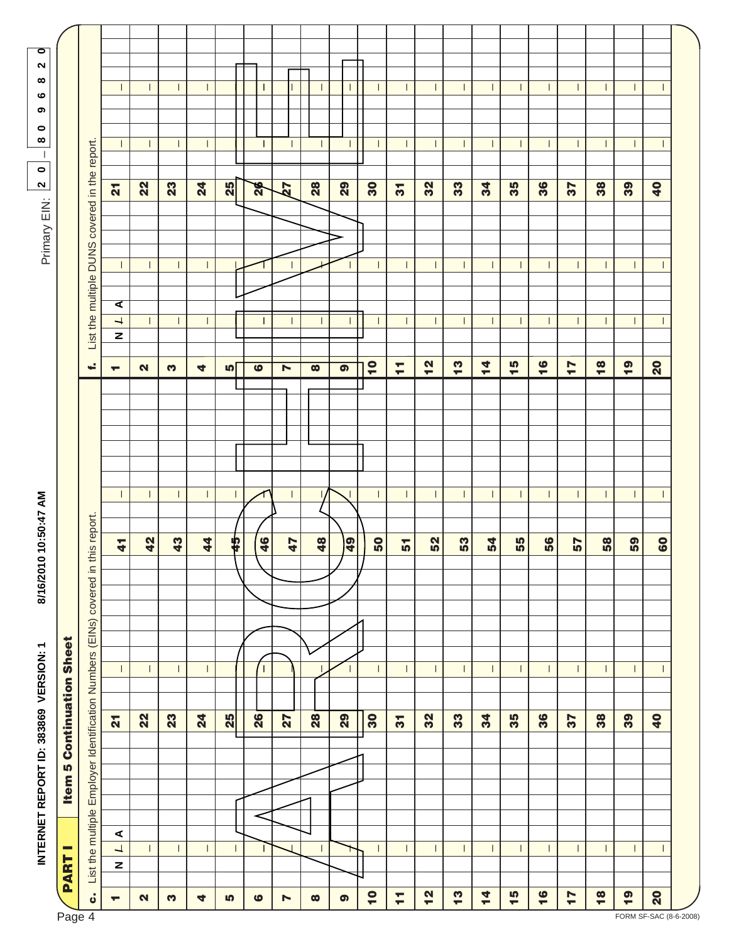|                                         |             |                                | INTERNET REPORT ID: 383869 VERSION: 1                                  |  |                                  |                          |  | 8/16/2010 | 10:50:47 AM    |                          |  |                               |                                          |   |              | Primary EIN: | $\bullet$<br>$\overline{\mathbf{r}}$          | ∞<br>$\Box$    | თ<br>$\bullet$ | ထ<br>ဖ                   | $\bullet$<br>2 |  |
|-----------------------------------------|-------------|--------------------------------|------------------------------------------------------------------------|--|----------------------------------|--------------------------|--|-----------|----------------|--------------------------|--|-------------------------------|------------------------------------------|---|--------------|--------------|-----------------------------------------------|----------------|----------------|--------------------------|----------------|--|
| Page 4                                  | <b>PART</b> | ▭                              |                                                                        |  | <b>Item 5 Continuation Sheet</b> |                          |  |           |                |                          |  |                               |                                          |   |              |              |                                               |                |                |                          |                |  |
| ن                                       |             |                                | List the multiple Employer Identification Numbers (EINs) covered in th |  |                                  |                          |  |           | is report.     |                          |  | ÷.                            |                                          |   |              |              | List the multiple DUNS covered in the report. |                |                |                          |                |  |
| $\overline{\phantom{a}}$                |             | $\overline{1}$<br>$\mathbf{z}$ | $\blacktriangleleft$                                                   |  | $\overline{\mathbf{a}}$          | $\overline{\phantom{a}}$ |  |           | $\overline{4}$ | $\mathbf{I}$             |  | $\overline{\phantom{a}}$      | $\overline{\phantom{0}}$<br>$\mathbf{z}$ | ৰ | $\mathbf{I}$ |              | $\overline{\mathbf{a}}$                       | $\perp$        |                |                          |                |  |
| $\mathbf{N}$                            |             | $\mathbf{I}$                   |                                                                        |  | 22                               | -1                       |  |           | $\frac{2}{3}$  | $\perp$                  |  | $\mathbf{N}$                  | $\perp$                                  |   | $\perp$      |              | 22                                            | Т.             |                | $\perp$                  |                |  |
| S                                       |             | $\mathbf{I}$                   |                                                                        |  | 23                               | $\perp$                  |  |           | $\overline{a}$ | $\mathbf{L}$             |  | S                             | $\mathbf{L}$                             |   | $\mathbf{I}$ |              | 23                                            | $\mathbf{I}$   |                | $\perp$                  |                |  |
| 4                                       |             | $\mathbf{L}$                   |                                                                        |  | $\mathbf{z}$                     | $\mathbb{L}$             |  |           | $\frac{4}{4}$  | $\mathbf{L}$             |  | 4                             | $\mathbf{L}$                             |   | $\mathbf{L}$ |              | $\mathbf{z}$                                  | $\mathbf{L}$   |                | $\mathbf{L}$             |                |  |
| 5                                       |             | $\mathbf{I}$                   |                                                                        |  | $\frac{4}{5}$                    | П.                       |  |           | 45             | $\mathbf{L}$             |  | 4                             | $\mathbf{I}$                             |   |              |              | $\frac{4}{5}$                                 | $\mathbb{L}$   |                |                          |                |  |
| ဖ                                       |             | Ш                              |                                                                        |  | 26                               | -1                       |  |           | 46             |                          |  | $\bullet$                     | $\mathbf{I}$                             |   |              |              | $\frac{1}{2}$                                 | Ш              |                | Ш                        |                |  |
| N                                       |             |                                |                                                                        |  | 72                               |                          |  |           | 47             | $\mathbf{I}$             |  | N                             |                                          |   |              |              | 72                                            |                |                |                          |                |  |
| $\infty$                                |             | I                              |                                                                        |  | 28                               |                          |  |           | $\frac{48}{ }$ |                          |  | $\bullet$                     | T.                                       |   |              |              | 28                                            | $\mathbf{I}$   |                | Ш                        |                |  |
| $\bullet$                               |             | T.                             |                                                                        |  | 29                               |                          |  |           | $\frac{1}{2}$  | $\mathbf{I}$             |  | $\bullet$                     | $\mathbf{I}$                             |   | $\mathbf{L}$ |              | 29                                            |                |                | $\mathbf{I}$             |                |  |
| $\overline{\phantom{a}}$                | IJ          | $\perp$                        |                                                                        |  | 30                               | $\perp$                  |  |           | $\frac{1}{2}$  | $\overline{1}$           |  | $\overline{10}$               | $\perp$                                  |   | $\perp$      |              | 30                                            | $\perp$        |                | $\perp$                  |                |  |
| H                                       |             | $\mathbf{I}$                   |                                                                        |  | $\overline{\mathbf{5}}$          | $\mathbf{I}$             |  |           | 51             | $\mathbf{I}$             |  | Ξ                             | $\mathbf{I}$                             |   | $\mathbf{L}$ |              | $\overline{5}$                                | $\mathbf{I}$   |                | $\mathbf{I}$             |                |  |
| 12                                      |             | $\mathbf{I}$                   |                                                                        |  | 32                               | $\mathbf{I}$             |  |           | 52             | $\mathbf{I}$             |  | N<br>$\overline{\phantom{a}}$ | $\perp$                                  |   | $\mathbf{I}$ |              | 32                                            | $\mathbf{I}$   |                | $\perp$                  |                |  |
| $\frac{3}{2}$                           |             | $\mathbf{I}$                   |                                                                        |  | 33                               | $\mathbf{I}$             |  |           | 53             | $\mathbb{L}$             |  | S<br>٠                        | $\mathbf{L}$                             |   | $\mathbf{L}$ |              | 33                                            | $\mathbf{L}$   |                | $\perp$                  |                |  |
| $\frac{4}{5}$                           |             | $\mathbb{L}$                   |                                                                        |  | 34                               | $\mathbf{I}$             |  |           | $\frac{54}{3}$ | $\mathbf{L}$             |  | 4<br>$\overline{\phantom{a}}$ | $\mathbf{L}$                             |   | Т.           |              | 34                                            | $\mathbf{L}$   |                | $\mathbf{I}$             |                |  |
| 15                                      |             | $\mathbf{I}$                   |                                                                        |  | 35                               | $\mathsf{l}$             |  |           | 55             | $\overline{\phantom{a}}$ |  | 5<br>٠                        | $\mathbf{L}$                             |   | $\mathbf{I}$ |              | 35                                            | $\mathbf{I}$   |                | $\mathbf{I}$             |                |  |
| $\frac{6}{1}$                           |             | $\perp$                        |                                                                        |  | 36                               | $\perp$                  |  |           | 56             | $\perp$                  |  | 16                            | Ι.                                       |   | $\perp$      |              | 36                                            | $\overline{1}$ |                | $\mathbf{I}$             |                |  |
| $\overline{1}$                          |             | $\mathbf{I}$                   |                                                                        |  | 57                               | $\mathbf{I}$             |  |           | $\frac{2}{5}$  | $\perp$                  |  | $\overline{1}$                | $\perp$                                  |   | $\mathbf{I}$ |              | 57                                            | $\mathbf{I}$   |                | $\mathbf{I}$             |                |  |
| $\frac{8}{18}$                          |             | $\mathbf{I}$                   |                                                                        |  | 38                               | $\mathbf{I}$             |  |           | $\frac{8}{58}$ | $\mathbf{L}$             |  | $\frac{8}{18}$                | $\mathbf{L}$                             |   | $\mathbf{L}$ |              | 38                                            | $\mathbf{I}$   |                | I.                       |                |  |
| $\frac{6}{1}$<br>FORM SF-SAC (8-6-2008) |             | $\mathbf{I}$                   |                                                                        |  | 39                               |                          |  |           | 59             | $\perp$                  |  | $\frac{6}{1}$                 | $\mathbf{I}$                             |   | $\mathbf{I}$ |              | 39                                            | $\mathbf{I}$   |                |                          |                |  |
| $\overline{\mathbf{S}}$                 |             | $\overline{\phantom{a}}$       |                                                                        |  | $\overline{\mathbf{a}}$          | $\mathbf{I}$             |  |           | 60             | $\overline{\phantom{a}}$ |  | $\overline{\mathbf{S}}$       | $\mathbf{I}$                             |   | $\mathbf{I}$ |              | $\overline{\mathbf{a}}$                       | $\mathbf{I}$   |                | $\overline{\phantom{a}}$ |                |  |
|                                         |             |                                |                                                                        |  |                                  |                          |  |           |                |                          |  |                               |                                          |   |              |              |                                               |                |                |                          |                |  |